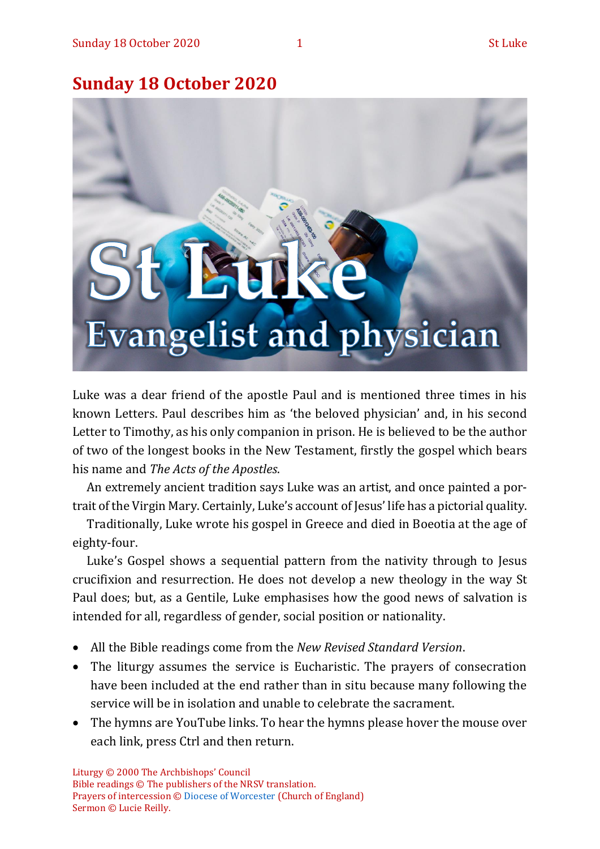# **Sunday 18 October 2020**



Luke was a dear friend of the apostle Paul and is mentioned three times in his known Letters. Paul describes him as 'the beloved physician' and, in his second Letter to Timothy, as his only companion in prison. He is believed to be the author of two of the longest books in the New Testament, firstly the gospel which bears his name and *The Acts of the Apostles*.

An extremely ancient tradition says Luke was an artist, and once painted a portrait of the Virgin Mary. Certainly, Luke's account of Jesus' life has a pictorial quality.

Traditionally, Luke wrote his gospel in Greece and died in Boeotia at the age of eighty-four.

Luke's Gospel shows a sequential pattern from the nativity through to Jesus crucifixion and resurrection. He does not develop a new theology in the way St Paul does; but, as a Gentile, Luke emphasises how the good news of salvation is intended for all, regardless of gender, social position or nationality.

- All the Bible readings come from the *New Revised Standard Version*.
- The liturgy assumes the service is Eucharistic. The prayers of consecration have been included at the end rather than in situ because many following the service will be in isolation and unable to celebrate the sacrament.
- The hymns are YouTube links. To hear the hymns please hover the mouse over each link, press Ctrl and then return.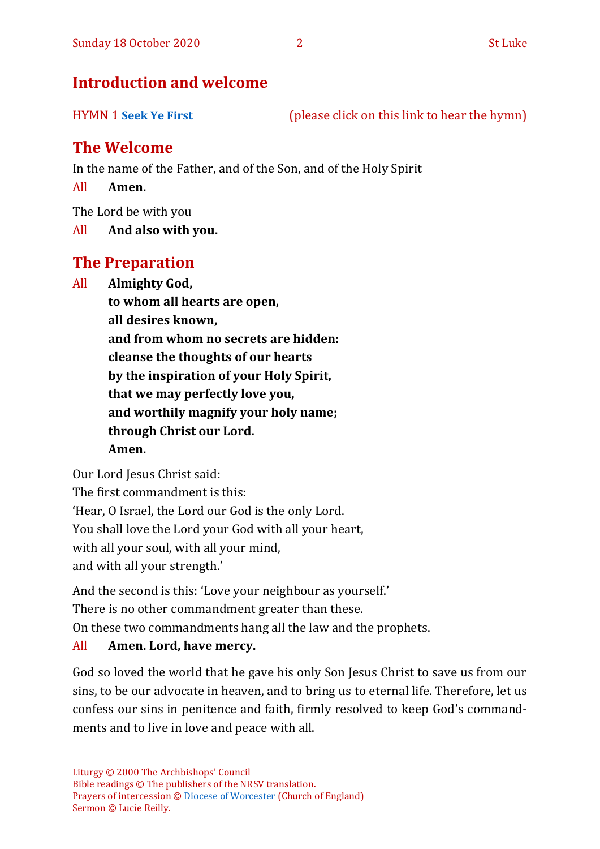# **Introduction and welcome**

HYMN 1 **[Seek Ye First](https://www.youtube.com/watch?v=9LMQfOp9w8k)** (please click on this link to hear the hymn)

# **The Welcome**

In the name of the Father, and of the Son, and of the Holy Spirit

All **Amen.**

The Lord be with you

All **And also with you.**

# **The Preparation**

All **Almighty God,**

**to whom all hearts are open, all desires known, and from whom no secrets are hidden: cleanse the thoughts of our hearts by the inspiration of your Holy Spirit, that we may perfectly love you, and worthily magnify your holy name; through Christ our Lord. Amen.**

Our Lord Jesus Christ said:

The first commandment is this: 'Hear, O Israel, the Lord our God is the only Lord. You shall love the Lord your God with all your heart, with all your soul, with all your mind, and with all your strength.'

And the second is this: 'Love your neighbour as yourself.'

There is no other commandment greater than these.

On these two commandments hang all the law and the prophets.

#### All **Amen. Lord, have mercy.**

God so loved the world that he gave his only Son Jesus Christ to save us from our sins, to be our advocate in heaven, and to bring us to eternal life. Therefore, let us confess our sins in penitence and faith, firmly resolved to keep God's commandments and to live in love and peace with all.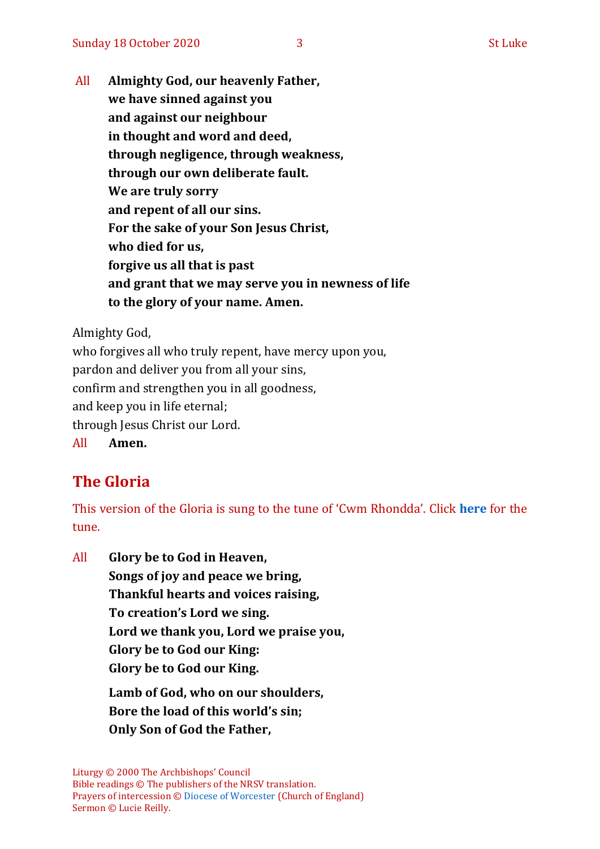All **Almighty God, our heavenly Father, we have sinned against you and against our neighbour in thought and word and deed, through negligence, through weakness, through our own deliberate fault. We are truly sorry and repent of all our sins. For the sake of your Son Jesus Christ, who died for us, forgive us all that is past and grant that we may serve you in newness of life to the glory of your name. Amen.**

Almighty God,

who forgives all who truly repent, have mercy upon you, pardon and deliver you from all your sins, confirm and strengthen you in all goodness, and keep you in life eternal; through Jesus Christ our Lord. All **Amen.**

# **The Gloria**

This version of the Gloria is sung to the tune of 'Cwm Rhondda'. Click **[here](about:blank)** for the tune.

All **Glory be to God in Heaven, Songs of joy and peace we bring, Thankful hearts and voices raising, To creation's Lord we sing. Lord we thank you, Lord we praise you, Glory be to God our King: Glory be to God our King. Lamb of God, who on our shoulders, Bore the load of this world's sin; Only Son of God the Father,**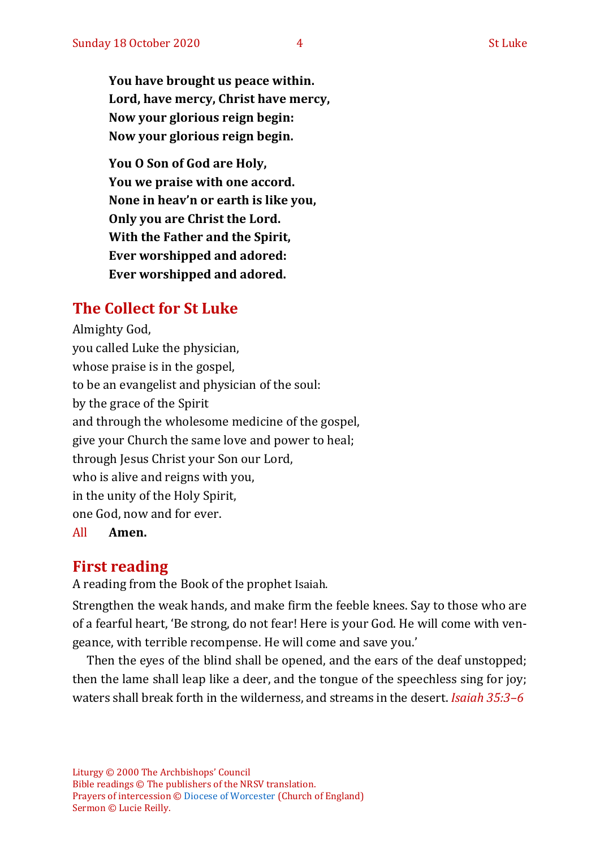**You have brought us peace within. Lord, have mercy, Christ have mercy, Now your glorious reign begin: Now your glorious reign begin.**

**You O Son of God are Holy, You we praise with one accord. None in heav'n or earth is like you, Only you are Christ the Lord. With the Father and the Spirit, Ever worshipped and adored: Ever worshipped and adored.**

#### **The Collect for St Luke**

Almighty God, you called Luke the physician, whose praise is in the gospel, to be an evangelist and physician of the soul: by the grace of the Spirit and through the wholesome medicine of the gospel, give your Church the same love and power to heal; through Jesus Christ your Son our Lord, who is alive and reigns with you, in the unity of the Holy Spirit, one God, now and for ever. All **Amen.**

#### **First reading**

A reading from the Book of the prophet Isaiah.

Strengthen the weak hands, and make firm the feeble knees. Say to those who are of a fearful heart, 'Be strong, do not fear! Here is your God. He will come with vengeance, with terrible recompense. He will come and save you.'

Then the eyes of the blind shall be opened, and the ears of the deaf unstopped; then the lame shall leap like a deer, and the tongue of the speechless sing for joy; waters shall break forth in the wilderness, and streams in the desert. *Isaiah 35:3–6*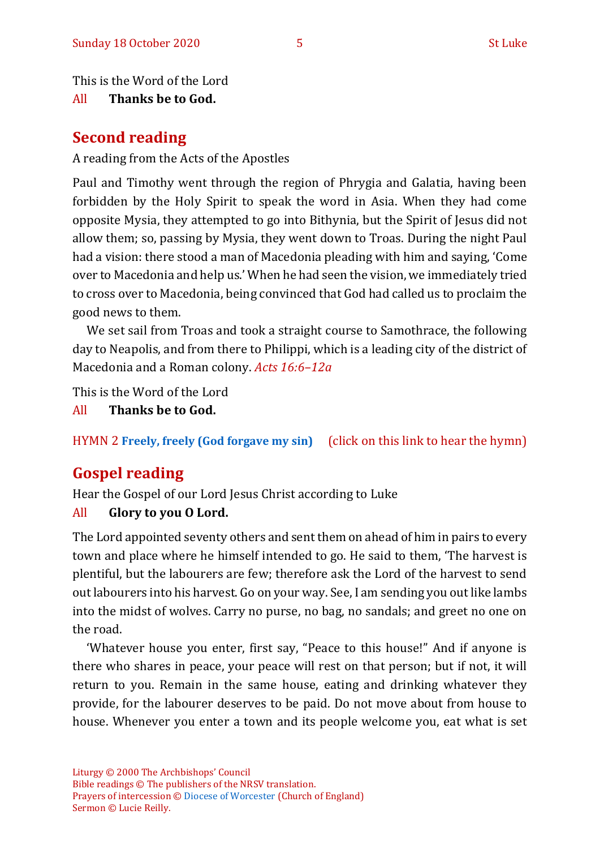This is the Word of the Lord

#### All **Thanks be to God.**

## **Second reading**

A reading from the Acts of the Apostles

Paul and Timothy went through the region of Phrygia and Galatia, having been forbidden by the Holy Spirit to speak the word in Asia. When they had come opposite Mysia, they attempted to go into Bithynia, but the Spirit of Jesus did not allow them; so, passing by Mysia, they went down to Troas. During the night Paul had a vision: there stood a man of Macedonia pleading with him and saying, 'Come over to Macedonia and help us.' When he had seen the vision, we immediately tried to cross over to Macedonia, being convinced that God had called us to proclaim the good news to them.

We set sail from Troas and took a straight course to Samothrace, the following day to Neapolis, and from there to Philippi, which is a leading city of the district of Macedonia and a Roman colony. *Acts 16:6–12a*

This is the Word of the Lord

All **Thanks be to God.**

HYMN 2 **[Freely, freely \(God forgave my](https://www.youtube.com/watch?v=SFV0OVeKdlw) sin)** (click on this link to hear the hymn)

# **Gospel reading**

Hear the Gospel of our Lord Jesus Christ according to Luke

#### All **Glory to you O Lord.**

The Lord appointed seventy others and sent them on ahead of him in pairs to every town and place where he himself intended to go. He said to them, 'The harvest is plentiful, but the labourers are few; therefore ask the Lord of the harvest to send out labourers into his harvest. Go on your way. See, I am sending you out like lambs into the midst of wolves. Carry no purse, no bag, no sandals; and greet no one on the road.

'Whatever house you enter, first say, "Peace to this house!" And if anyone is there who shares in peace, your peace will rest on that person; but if not, it will return to you. Remain in the same house, eating and drinking whatever they provide, for the labourer deserves to be paid. Do not move about from house to house. Whenever you enter a town and its people welcome you, eat what is set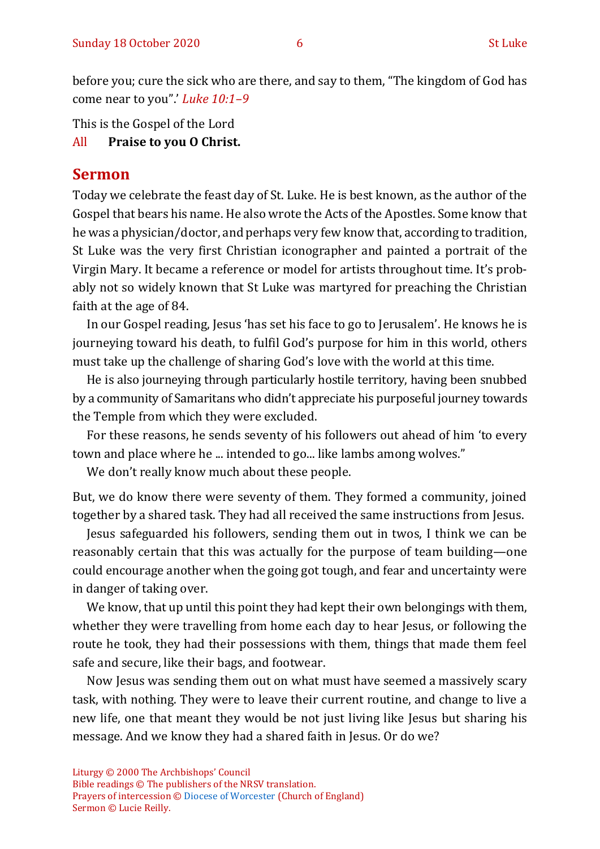before you; cure the sick who are there, and say to them, "The kingdom of God has come near to you".' *Luke 10:1–9*

This is the Gospel of the Lord

All **Praise to you O Christ.** 

### **Sermon**

Today we celebrate the feast day of St. Luke. He is best known, as the author of the Gospel that bears his name. He also wrote the Acts of the Apostles. Some know that he was a physician/doctor, and perhaps very few know that, according to tradition, St Luke was the very first Christian iconographer and painted a portrait of the Virgin Mary. It became a reference or model for artists throughout time. It's probably not so widely known that St Luke was martyred for preaching the Christian faith at the age of 84.

In our Gospel reading, Jesus 'has set his face to go to Jerusalem'. He knows he is journeying toward his death, to fulfil God's purpose for him in this world, others must take up the challenge of sharing God's love with the world at this time.

He is also journeying through particularly hostile territory, having been snubbed by a community of Samaritans who didn't appreciate his purposeful journey towards the Temple from which they were excluded.

For these reasons, he sends seventy of his followers out ahead of him 'to every town and place where he ... intended to go... like lambs among wolves."

We don't really know much about these people.

But, we do know there were seventy of them. They formed a community, joined together by a shared task. They had all received the same instructions from Jesus.

Jesus safeguarded his followers, sending them out in twos, I think we can be reasonably certain that this was actually for the purpose of team building—one could encourage another when the going got tough, and fear and uncertainty were in danger of taking over.

We know, that up until this point they had kept their own belongings with them, whether they were travelling from home each day to hear Jesus, or following the route he took, they had their possessions with them, things that made them feel safe and secure, like their bags, and footwear.

Now Jesus was sending them out on what must have seemed a massively scary task, with nothing. They were to leave their current routine, and change to live a new life, one that meant they would be not just living like Jesus but sharing his message. And we know they had a shared faith in Jesus. Or do we?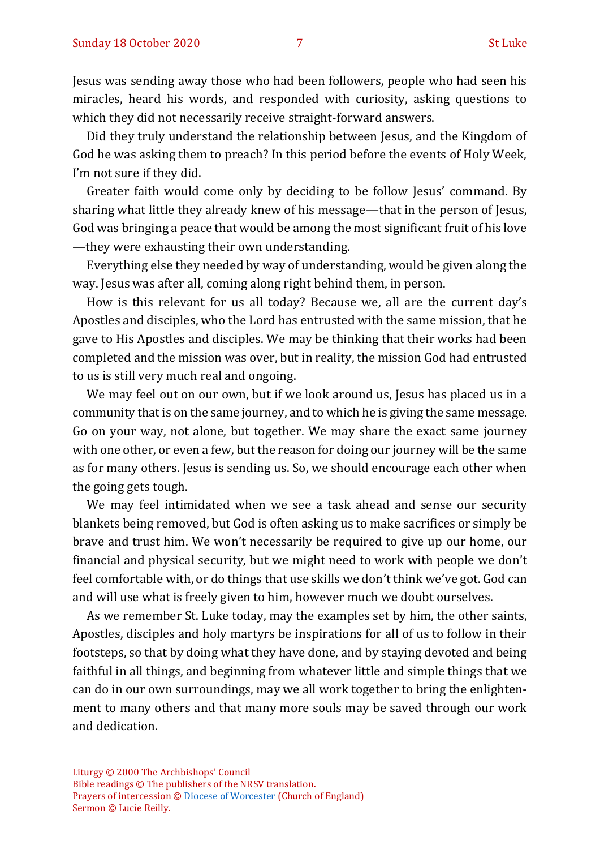Jesus was sending away those who had been followers, people who had seen his miracles, heard his words, and responded with curiosity, asking questions to which they did not necessarily receive straight-forward answers.

Did they truly understand the relationship between Jesus, and the Kingdom of God he was asking them to preach? In this period before the events of Holy Week, I'm not sure if they did.

Greater faith would come only by deciding to be follow Jesus' command. By sharing what little they already knew of his message—that in the person of Jesus, God was bringing a peace that would be among the most significant fruit of his love —they were exhausting their own understanding.

Everything else they needed by way of understanding, would be given along the way. Jesus was after all, coming along right behind them, in person.

How is this relevant for us all today? Because we, all are the current day's Apostles and disciples, who the Lord has entrusted with the same mission, that he gave to His Apostles and disciples. We may be thinking that their works had been completed and the mission was over, but in reality, the mission God had entrusted to us is still very much real and ongoing.

We may feel out on our own, but if we look around us, Jesus has placed us in a community that is on the same journey, and to which he is giving the same message. Go on your way, not alone, but together. We may share the exact same journey with one other, or even a few, but the reason for doing our journey will be the same as for many others. Jesus is sending us. So, we should encourage each other when the going gets tough.

We may feel intimidated when we see a task ahead and sense our security blankets being removed, but God is often asking us to make sacrifices or simply be brave and trust him. We won't necessarily be required to give up our home, our financial and physical security, but we might need to work with people we don't feel comfortable with, or do things that use skills we don't think we've got. God can and will use what is freely given to him, however much we doubt ourselves.

As we remember St. Luke today, may the examples set by him, the other saints, Apostles, disciples and holy martyrs be inspirations for all of us to follow in their footsteps, so that by doing what they have done, and by staying devoted and being faithful in all things, and beginning from whatever little and simple things that we can do in our own surroundings, may we all work together to bring the enlightenment to many others and that many more souls may be saved through our work and dedication.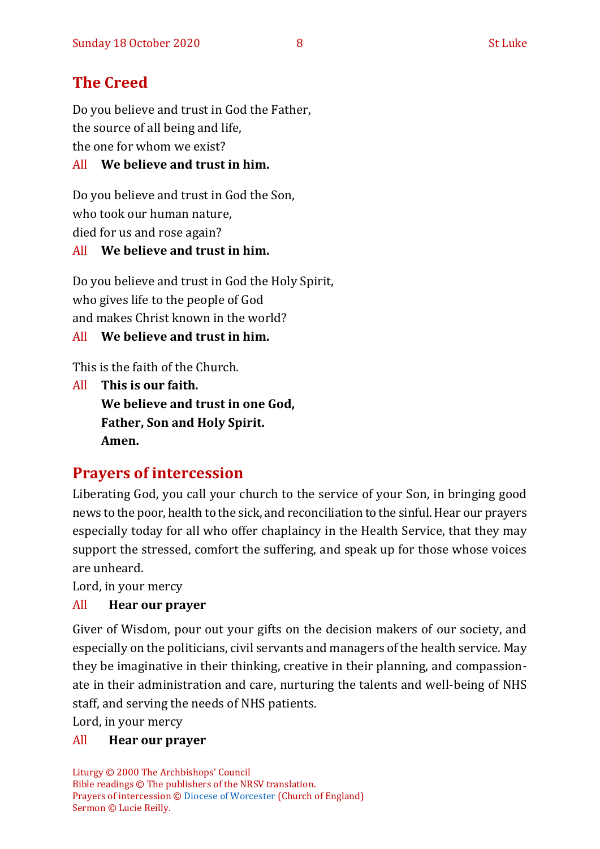# **The Creed**

Do you believe and trust in God the Father, the source of all being and life, the one for whom we exist?

#### All **We believe and trust in him.**

Do you believe and trust in God the Son, who took our human nature, died for us and rose again? All **We believe and trust in him.**

Do you believe and trust in God the Holy Spirit, who gives life to the people of God and makes Christ known in the world?

All **We believe and trust in him.**

This is the faith of the Church.

All **This is our faith. We believe and trust in one God, Father, Son and Holy Spirit. Amen.**

# **Prayers of intercession**

Liberating God, you call your church to the service of your Son, in bringing good news to the poor, health to the sick, and reconciliation to the sinful. Hear our prayers especially today for all who offer chaplaincy in the Health Service, that they may support the stressed, comfort the suffering, and speak up for those whose voices are unheard.

Lord, in your mercy

#### All **Hear our prayer**

Giver of Wisdom, pour out your gifts on the decision makers of our society, and especially on the politicians, civil servants and managers of the health service. May they be imaginative in their thinking, creative in their planning, and compassionate in their administration and care, nurturing the talents and well-being of NHS staff, and serving the needs of NHS patients.

Lord, in your mercy

#### All **Hear our prayer**

Liturgy © 2000 The Archbishops' Council Bible readings © The publishers of the NRSV translation. Prayers of intercession © [Diocese of Worcester](https://cofeworcester.contentfiles.net/media/assets/file/St-Luke-NHS-2017.pdf) (Church of England) Sermon © Lucie Reilly.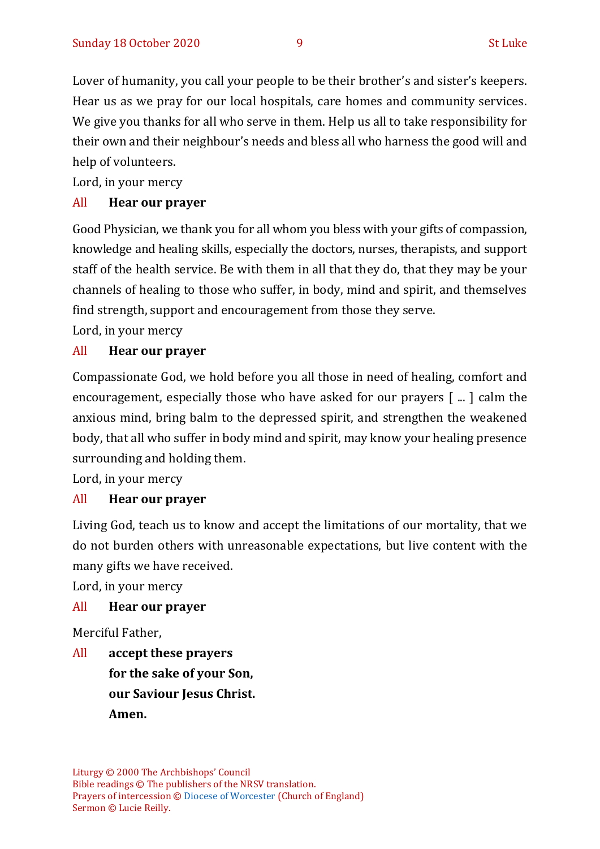Lover of humanity, you call your people to be their brother's and sister's keepers. Hear us as we pray for our local hospitals, care homes and community services. We give you thanks for all who serve in them. Help us all to take responsibility for their own and their neighbour's needs and bless all who harness the good will and help of volunteers.

Lord, in your mercy

#### All **Hear our prayer**

Good Physician, we thank you for all whom you bless with your gifts of compassion, knowledge and healing skills, especially the doctors, nurses, therapists, and support staff of the health service. Be with them in all that they do, that they may be your channels of healing to those who suffer, in body, mind and spirit, and themselves find strength, support and encouragement from those they serve.

Lord, in your mercy

#### All **Hear our prayer**

Compassionate God, we hold before you all those in need of healing, comfort and encouragement, especially those who have asked for our prayers [ ... ] calm the anxious mind, bring balm to the depressed spirit, and strengthen the weakened body, that all who suffer in body mind and spirit, may know your healing presence surrounding and holding them.

Lord, in your mercy

#### All **Hear our prayer**

Living God, teach us to know and accept the limitations of our mortality, that we do not burden others with unreasonable expectations, but live content with the many gifts we have received.

Lord, in your mercy

#### All **Hear our prayer**

Merciful Father,

All **accept these prayers for the sake of your Son, our Saviour Jesus Christ. Amen.**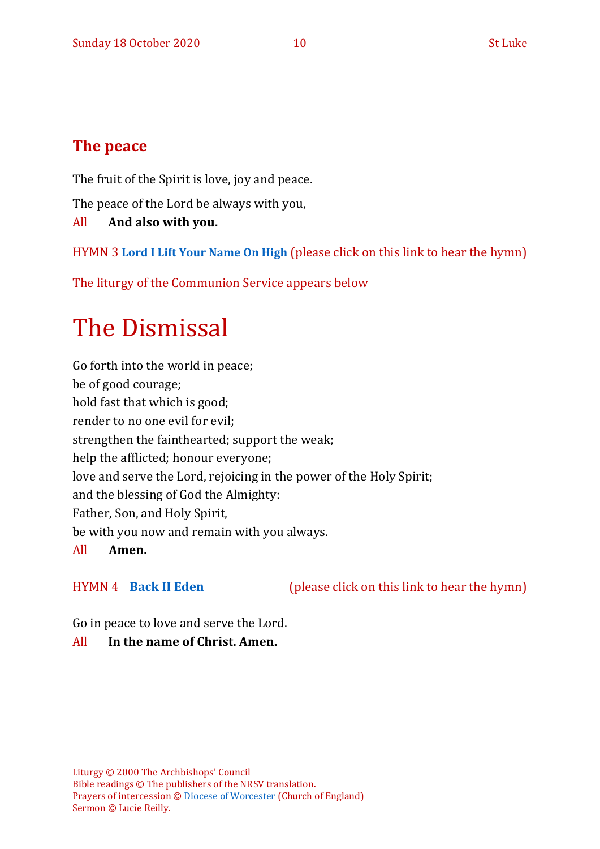# **The peace**

The fruit of the Spirit is love, joy and peace.

The peace of the Lord be always with you,

All **And also with you.**

HYMN 3 **[Lord I Lift Your Name On High](https://www.youtube.com/watch?v=zVqWEtfpTgo)** (please click on this link to hear the hymn)

The liturgy of the Communion Service appears below

# The Dismissal

Go forth into the world in peace; be of good courage; hold fast that which is good; render to no one evil for evil; strengthen the fainthearted; support the weak; help the afflicted; honour everyone; love and serve the Lord, rejoicing in the power of the Holy Spirit; and the blessing of God the Almighty: Father, Son, and Holy Spirit, be with you now and remain with you always. All **Amen.**

HYMN 4 **[Back II Eden](https://www.youtube.com/watch?v=U-9btgr3oLc)** (please click on this link to hear the hymn)

Go in peace to love and serve the Lord.

All **In the name of Christ. Amen.**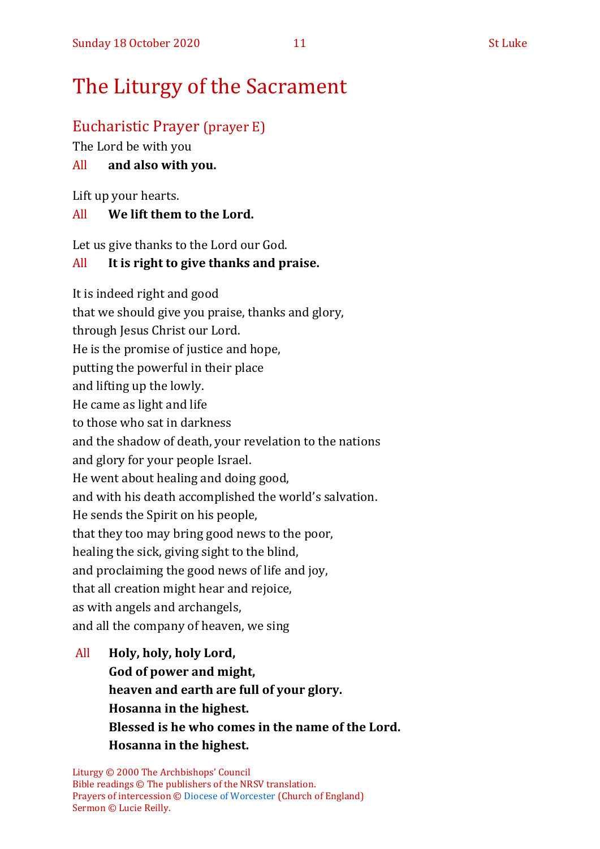# The Liturgy of the Sacrament

# Eucharistic Prayer (prayer E)

The Lord be with you

#### All **and also with you.**

Lift up your hearts.

#### All **We lift them to the Lord.**

Let us give thanks to the Lord our God.

#### All **It is right to give thanks and praise.**

It is indeed right and good that we should give you praise, thanks and glory, through Jesus Christ our Lord. He is the promise of justice and hope, putting the powerful in their place and lifting up the lowly. He came as light and life to those who sat in darkness and the shadow of death, your revelation to the nations and glory for your people Israel. He went about healing and doing good, and with his death accomplished the world's salvation. He sends the Spirit on his people, that they too may bring good news to the poor, healing the sick, giving sight to the blind, and proclaiming the good news of life and joy, that all creation might hear and rejoice, as with angels and archangels, and all the company of heaven, we sing

All **Holy, holy, holy Lord, God of power and might, heaven and earth are full of your glory. Hosanna in the highest. Blessed is he who comes in the name of the Lord. Hosanna in the highest.**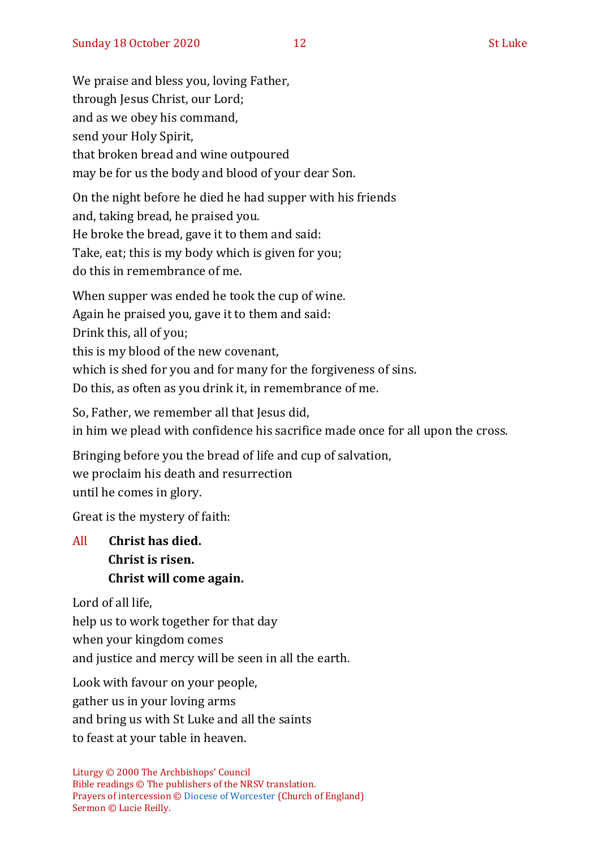We praise and bless you, loving Father, through Jesus Christ, our Lord; and as we obey his command, send your Holy Spirit, that broken bread and wine outpoured may be for us the body and blood of your dear Son.

On the night before he died he had supper with his friends and, taking bread, he praised you. He broke the bread, gave it to them and said: Take, eat; this is my body which is given for you; do this in remembrance of me.

When supper was ended he took the cup of wine. Again he praised you, gave it to them and said: Drink this, all of you; this is my blood of the new covenant, which is shed for you and for many for the forgiveness of sins. Do this, as often as you drink it, in remembrance of me.

So, Father, we remember all that Jesus did, in him we plead with confidence his sacrifice made once for all upon the cross.

Bringing before you the bread of life and cup of salvation, we proclaim his death and resurrection until he comes in glory.

Great is the mystery of faith:

# All **Christ has died. Christ is risen. Christ will come again.**

Lord of all life,

help us to work together for that day

when your kingdom comes

and justice and mercy will be seen in all the earth.

Look with favour on your people, gather us in your loving arms and bring us with St Luke and all the saints

to feast at your table in heaven.

Liturgy © 2000 The Archbishops' Council Bible readings © The publishers of the NRSV translation. Prayers of intercession © [Diocese of Worcester](https://cofeworcester.contentfiles.net/media/assets/file/St-Luke-NHS-2017.pdf) (Church of England) Sermon © Lucie Reilly.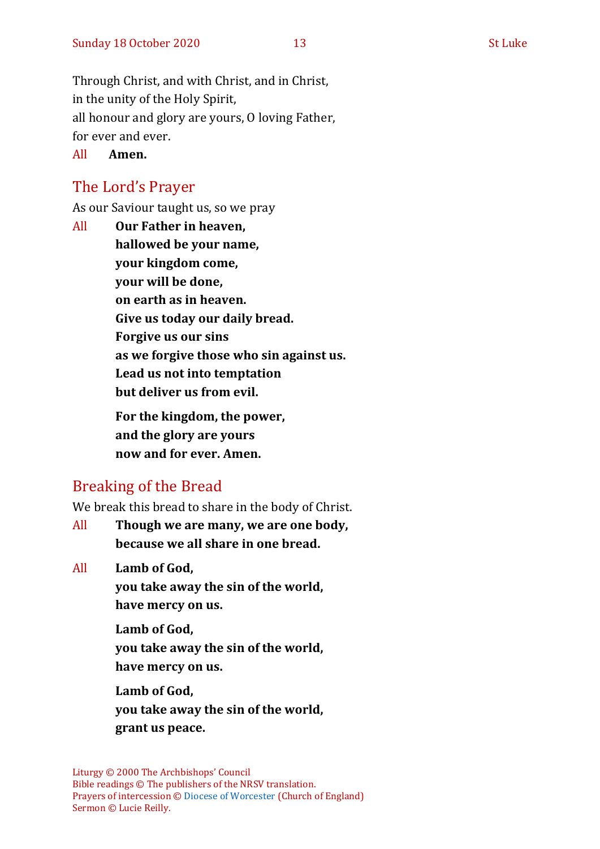Through Christ, and with Christ, and in Christ, in the unity of the Holy Spirit, all honour and glory are yours, O loving Father, for ever and ever.

All **Amen.**

# The Lord's Prayer

As our Saviour taught us, so we pray

All **Our Father in heaven, hallowed be your name, your kingdom come, your will be done, on earth as in heaven. Give us today our daily bread. Forgive us our sins as we forgive those who sin against us. Lead us not into temptation but deliver us from evil. For the kingdom, the power,** 

**and the glory are yours now and for ever. Amen.**

# Breaking of the Bread

We break this bread to share in the body of Christ.

All **Though we are many, we are one body, because we all share in one bread.**

All **Lamb of God,**

**you take away the sin of the world, have mercy on us.**

**Lamb of God, you take away the sin of the world, have mercy on us.**

**Lamb of God, you take away the sin of the world, grant us peace.**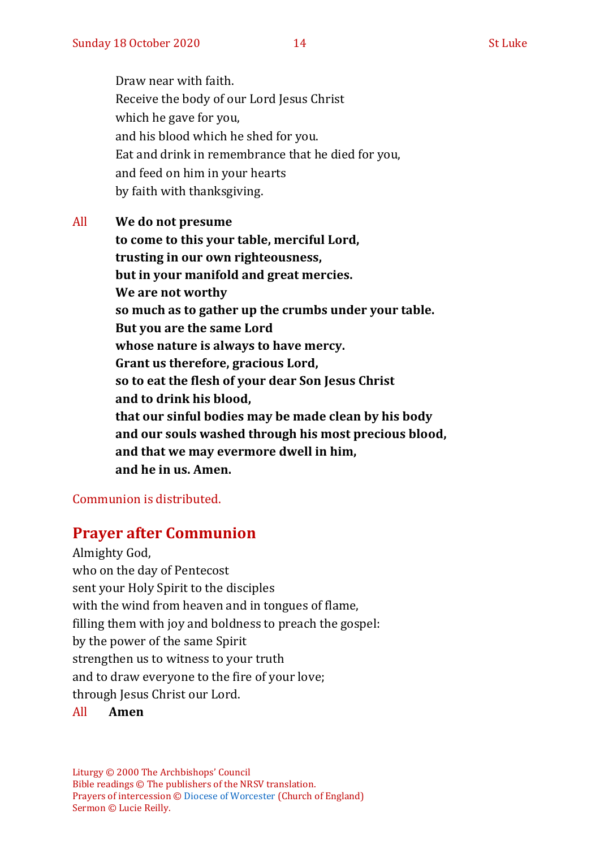Draw near with faith. Receive the body of our Lord Jesus Christ which he gave for you, and his blood which he shed for you. Eat and drink in remembrance that he died for you, and feed on him in your hearts by faith with thanksgiving.

All **We do not presume to come to this your table, merciful Lord, trusting in our own righteousness, but in your manifold and great mercies. We are not worthy so much as to gather up the crumbs under your table. But you are the same Lord whose nature is always to have mercy. Grant us therefore, gracious Lord, so to eat the flesh of your dear Son Jesus Christ and to drink his blood, that our sinful bodies may be made clean by his body and our souls washed through his most precious blood, and that we may evermore dwell in him, and he in us. Amen.**

#### Communion is distributed.

# **Prayer after Communion**

- Almighty God, who on the day of Pentecost sent your Holy Spirit to the disciples with the wind from heaven and in tongues of flame, filling them with joy and boldness to preach the gospel: by the power of the same Spirit strengthen us to witness to your truth and to draw everyone to the fire of your love; through Jesus Christ our Lord.
- All **Amen**